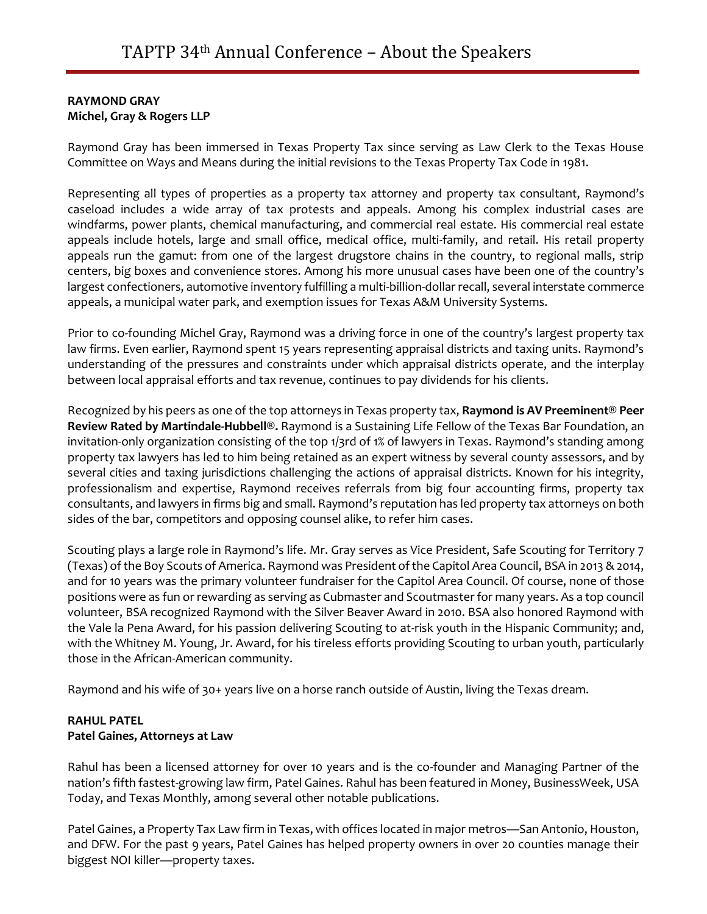# **RAYMOND GRAY Michel, Gray & Rogers LLP**

Raymond Gray has been immersed in Texas Property Tax since serving as Law Clerk to the Texas House Committee on Ways and Means during the initial revisions to the Texas Property Tax Code in 1981.

Representing all types of properties as a property tax attorney and property tax consultant, Raymond's caseload includes a wide array of tax protests and appeals. Among his complex industrial cases are windfarms, power plants, chemical manufacturing, and commercial real estate. His commercial real estate appeals include hotels, large and small office, medical office, multi-family, and retail. His retail property appeals run the gamut: from one of the largest drugstore chains in the country, to regional malls, strip centers, big boxes and convenience stores. Among his more unusual cases have been one of the country's largest confectioners, automotive inventory fulfilling a multi-billion-dollar recall, several interstate commerce appeals, a municipal water park, and exemption issues for Texas A&M University Systems.

Prior to co-founding Michel Gray, Raymond was a driving force in one of the country's largest property tax law firms. Even earlier, Raymond spent 15 years representing appraisal districts and taxing units. Raymond's understanding of the pressures and constraints under which appraisal districts operate, and the interplay between local appraisal efforts and tax revenue, continues to pay dividends for his clients.

Recognized by his peers as one of the top attorneys in Texas property tax, **Raymond is AV Preeminent® Peer Review Rated by Martindale-Hubbell®.** Raymond is a Sustaining Life Fellow of the Texas Bar Foundation, an invitation-only organization consisting of the top 1/3rd of 1% of lawyers in Texas. Raymond's standing among property tax lawyers has led to him being retained as an expert witness by several county assessors, and by several cities and taxing jurisdictions challenging the actions of appraisal districts. Known for his integrity, professionalism and expertise, Raymond receives referrals from big four accounting firms, property tax consultants, and lawyers in firms big and small. Raymond's reputation has led property tax attorneys on both sides of the bar, competitors and opposing counsel alike, to refer him cases.

Scouting plays a large role in Raymond's life. Mr. Gray serves as Vice President, Safe Scouting for Territory 7 (Texas) of the Boy Scouts of America. Raymond was President of the Capitol Area Council, BSA in 2013 & 2014, and for 10 years was the primary volunteer fundraiser for the Capitol Area Council. Of course, none of those positions were as fun or rewarding as serving as Cubmaster and Scoutmaster for many years. As a top council volunteer, BSA recognized Raymond with the Silver Beaver Award in 2010. BSA also honored Raymond with the Vale la Pena Award, for his passion delivering Scouting to at-risk youth in the Hispanic Community; and, with the Whitney M. Young, Jr. Award, for his tireless efforts providing Scouting to urban youth, particularly those in the African-American community.

Raymond and his wife of 30+ years live on a horse ranch outside of Austin, living the Texas dream.

# **RAHUL PATEL Patel Gaines, Attorneys at Law**

Rahul has been a licensed attorney for over 10 years and is the co-founder and Managing Partner of the nation's fifth fastest-growing law firm, Patel Gaines. Rahul has been featured in Money, BusinessWeek, USA Today, and Texas Monthly, among several other notable publications.

Patel Gaines, a Property Tax Law firm in Texas, with offices located in major metros—San Antonio, Houston, and DFW. For the past 9 years, Patel Gaines has helped property owners in over 20 counties manage their biggest NOI killer—property taxes.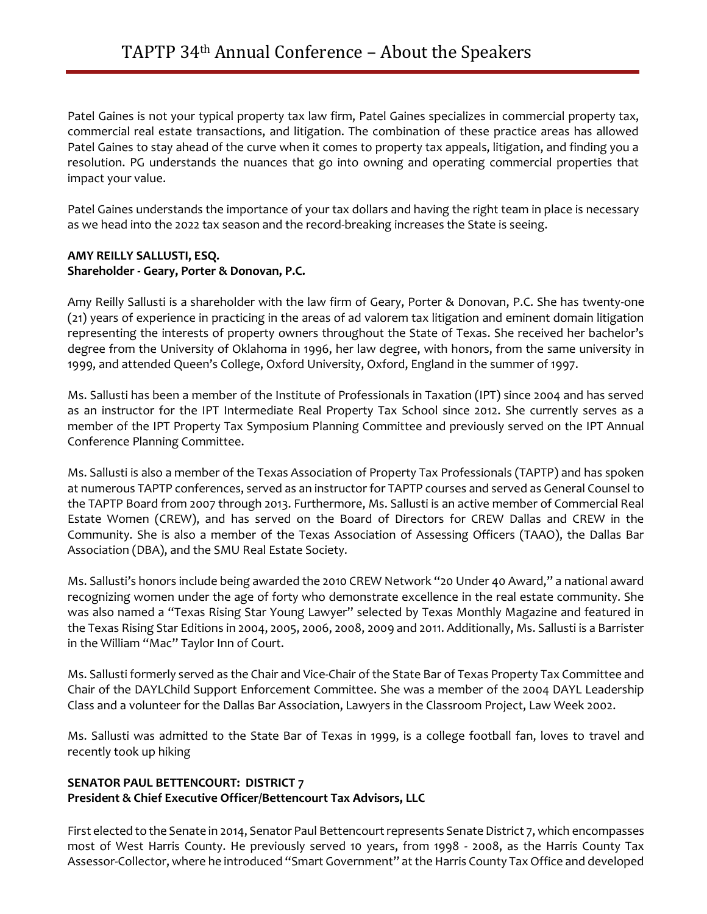Patel Gaines is not your typical property tax law firm, Patel Gaines specializes in commercial property tax, commercial real estate transactions, and litigation. The combination of these practice areas has allowed Patel Gaines to stay ahead of the curve when it comes to property tax appeals, litigation, and finding you a resolution. PG understands the nuances that go into owning and operating commercial properties that impact your value.

Patel Gaines understands the importance of your tax dollars and having the right team in place is necessary as we head into the 2022 tax season and the record-breaking increases the State is seeing.

### **AMY REILLY SALLUSTI, ESQ. Shareholder - Geary, Porter & Donovan, P.C.**

Amy Reilly Sallusti is a shareholder with the law firm of Geary, Porter & Donovan, P.C. She has twenty-one (21) years of experience in practicing in the areas of ad valorem tax litigation and eminent domain litigation representing the interests of property owners throughout the State of Texas. She received her bachelor's degree from the University of Oklahoma in 1996, her law degree, with honors, from the same university in 1999, and attended Queen's College, Oxford University, Oxford, England in the summer of 1997.

Ms. Sallusti has been a member of the Institute of Professionals in Taxation (IPT) since 2004 and has served as an instructor for the IPT Intermediate Real Property Tax School since 2012. She currently serves as a member of the IPT Property Tax Symposium Planning Committee and previously served on the IPT Annual Conference Planning Committee.

Ms. Sallusti is also a member of the Texas Association of Property Tax Professionals (TAPTP) and has spoken at numerous TAPTP conferences, served as an instructor for TAPTP courses and served as General Counsel to the TAPTP Board from 2007 through 2013. Furthermore, Ms. Sallusti is an active member of Commercial Real Estate Women (CREW), and has served on the Board of Directors for CREW Dallas and CREW in the Community. She is also a member of the Texas Association of Assessing Officers (TAAO), the Dallas Bar Association (DBA), and the SMU Real Estate Society.

Ms. Sallusti's honors include being awarded the 2010 CREW Network "20 Under 40 Award," a national award recognizing women under the age of forty who demonstrate excellence in the real estate community. She was also named a "Texas Rising Star Young Lawyer" selected by Texas Monthly Magazine and featured in the Texas Rising Star Editions in 2004, 2005, 2006, 2008, 2009 and 2011. Additionally, Ms. Sallusti is a Barrister in the William "Mac" Taylor Inn of Court.

Ms. Sallusti formerly served as the Chair and Vice-Chair of the State Bar of Texas Property Tax Committee and Chair of the DAYLChild Support Enforcement Committee. She was a member of the 2004 DAYL Leadership Class and a volunteer for the Dallas Bar Association, Lawyers in the Classroom Project, Law Week 2002.

Ms. Sallusti was admitted to the State Bar of Texas in 1999, is a college football fan, loves to travel and recently took up hiking

# **SENATOR PAUL BETTENCOURT: DISTRICT 7 President & Chief Executive Officer/Bettencourt Tax Advisors, LLC**

First elected to the Senate in 2014, Senator Paul Bettencourt represents Senate District 7, which encompasses most of West Harris County. He previously served 10 years, from 1998 - 2008, as the Harris County Tax Assessor-Collector, where he introduced "Smart Government" at the Harris County Tax Office and developed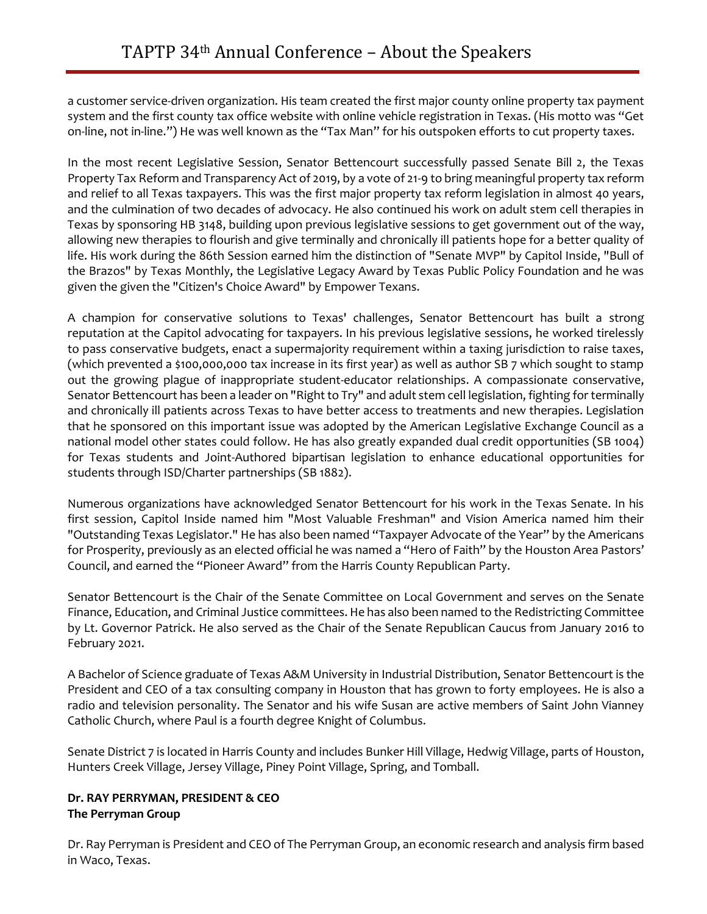a customer service-driven organization. His team created the first major county online property tax payment system and the first county tax office website with online vehicle registration in Texas. (His motto was "Get on-line, not in-line.") He was well known as the "Tax Man" for his outspoken efforts to cut property taxes.

In the most recent Legislative Session, Senator Bettencourt successfully passed Senate Bill 2, the Texas Property Tax Reform and Transparency Act of 2019, by a vote of 21-9 to bring meaningful property tax reform and relief to all Texas taxpayers. This was the first major property tax reform legislation in almost 40 years, and the culmination of two decades of advocacy. He also continued his work on adult stem cell therapies in Texas by sponsoring HB 3148, building upon previous legislative sessions to get government out of the way, allowing new therapies to flourish and give terminally and chronically ill patients hope for a better quality of life. His work during the 86th Session earned him the distinction of "Senate MVP" by Capitol Inside, "Bull of the Brazos" by Texas Monthly, the Legislative Legacy Award by Texas Public Policy Foundation and he was given the given the "Citizen's Choice Award" by Empower Texans.

A champion for conservative solutions to Texas' challenges, Senator Bettencourt has built a strong reputation at the Capitol advocating for taxpayers. In his previous legislative sessions, he worked tirelessly to pass conservative budgets, enact a supermajority requirement within a taxing jurisdiction to raise taxes, (which prevented a \$100,000,000 tax increase in its first year) as well as author SB 7 which sought to stamp out the growing plague of inappropriate student-educator relationships. A compassionate conservative, Senator Bettencourt has been a leader on "Right to Try" and adult stem cell legislation, fighting for terminally and chronically ill patients across Texas to have better access to treatments and new therapies. Legislation that he sponsored on this important issue was adopted by the American Legislative Exchange Council as a national model other states could follow. He has also greatly expanded dual credit opportunities (SB 1004) for Texas students and Joint-Authored bipartisan legislation to enhance educational opportunities for students through ISD/Charter partnerships (SB 1882).

Numerous organizations have acknowledged Senator Bettencourt for his work in the Texas Senate. In his first session, Capitol Inside named him "Most Valuable Freshman" and Vision America named him their "Outstanding Texas Legislator." He has also been named "Taxpayer Advocate of the Year" by the Americans for Prosperity, previously as an elected official he was named a "Hero of Faith" by the Houston Area Pastors' Council, and earned the "Pioneer Award" from the Harris County Republican Party.

Senator Bettencourt is the Chair of the Senate Committee on Local Government and serves on the Senate Finance, Education, and Criminal Justice committees. He has also been named to the Redistricting Committee by Lt. Governor Patrick. He also served as the Chair of the Senate Republican Caucus from January 2016 to February 2021.

A Bachelor of Science graduate of Texas A&M University in Industrial Distribution, Senator Bettencourt is the President and CEO of a tax consulting company in Houston that has grown to forty employees. He is also a radio and television personality. The Senator and his wife Susan are active members of Saint John Vianney Catholic Church, where Paul is a fourth degree Knight of Columbus.

Senate District 7 is located in Harris County and includes Bunker Hill Village, Hedwig Village, parts of Houston, Hunters Creek Village, Jersey Village, Piney Point Village, Spring, and Tomball.

# **Dr. RAY PERRYMAN, PRESIDENT & CEO The Perryman Group**

Dr. Ray Perryman is President and CEO of The Perryman Group, an economic research and analysis firm based in Waco, Texas.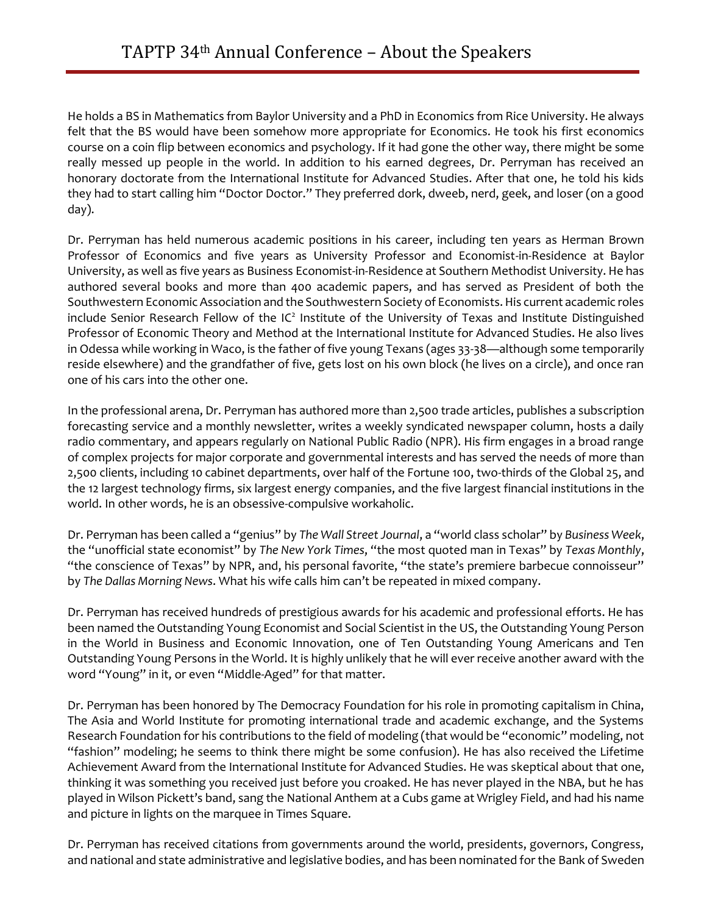He holds a BS in Mathematics from Baylor University and a PhD in Economics from Rice University. He always felt that the BS would have been somehow more appropriate for Economics. He took his first economics course on a coin flip between economics and psychology. If it had gone the other way, there might be some really messed up people in the world. In addition to his earned degrees, Dr. Perryman has received an honorary doctorate from the International Institute for Advanced Studies. After that one, he told his kids they had to start calling him "Doctor Doctor." They preferred dork, dweeb, nerd, geek, and loser (on a good day).

Dr. Perryman has held numerous academic positions in his career, including ten years as Herman Brown Professor of Economics and five years as University Professor and Economist-in-Residence at Baylor University, as well as five years as Business Economist-in-Residence at Southern Methodist University. He has authored several books and more than 400 academic papers, and has served as President of both the Southwestern Economic Association and the Southwestern Society of Economists. His current academic roles include Senior Research Fellow of the IC<sup>2</sup> Institute of the University of Texas and Institute Distinguished Professor of Economic Theory and Method at the International Institute for Advanced Studies. He also lives in Odessa while working in Waco, is the father of five young Texans (ages 33-38—although some temporarily reside elsewhere) and the grandfather of five, gets lost on his own block (he lives on a circle), and once ran one of his cars into the other one.

In the professional arena, Dr. Perryman has authored more than 2,500 trade articles, publishes a subscription forecasting service and a monthly newsletter, writes a weekly syndicated newspaper column, hosts a daily radio commentary, and appears regularly on National Public Radio (NPR). His firm engages in a broad range of complex projects for major corporate and governmental interests and has served the needs of more than 2,500 clients, including 10 cabinet departments, over half of the Fortune 100, two-thirds of the Global 25, and the 12 largest technology firms, six largest energy companies, and the five largest financial institutions in the world. In other words, he is an obsessive-compulsive workaholic.

Dr. Perryman has been called a "genius" by *The Wall Street Journal*, a "world class scholar" by *Business Week*, the "unofficial state economist" by *The New York Times*, "the most quoted man in Texas" by *Texas Monthly*, "the conscience of Texas" by NPR, and, his personal favorite, "the state's premiere barbecue connoisseur" by *The Dallas Morning News*. What his wife calls him can't be repeated in mixed company.

Dr. Perryman has received hundreds of prestigious awards for his academic and professional efforts. He has been named the Outstanding Young Economist and Social Scientist in the US, the Outstanding Young Person in the World in Business and Economic Innovation, one of Ten Outstanding Young Americans and Ten Outstanding Young Persons in the World. It is highly unlikely that he will ever receive another award with the word "Young" in it, or even "Middle-Aged" for that matter.

Dr. Perryman has been honored by The Democracy Foundation for his role in promoting capitalism in China, The Asia and World Institute for promoting international trade and academic exchange, and the Systems Research Foundation for his contributions to the field of modeling (that would be "economic" modeling, not "fashion" modeling; he seems to think there might be some confusion). He has also received the Lifetime Achievement Award from the International Institute for Advanced Studies. He was skeptical about that one, thinking it was something you received just before you croaked. He has never played in the NBA, but he has played in Wilson Pickett's band, sang the National Anthem at a Cubs game at Wrigley Field, and had his name and picture in lights on the marquee in Times Square.

Dr. Perryman has received citations from governments around the world, presidents, governors, Congress, and national and state administrative and legislative bodies, and has been nominated for the Bank of Sweden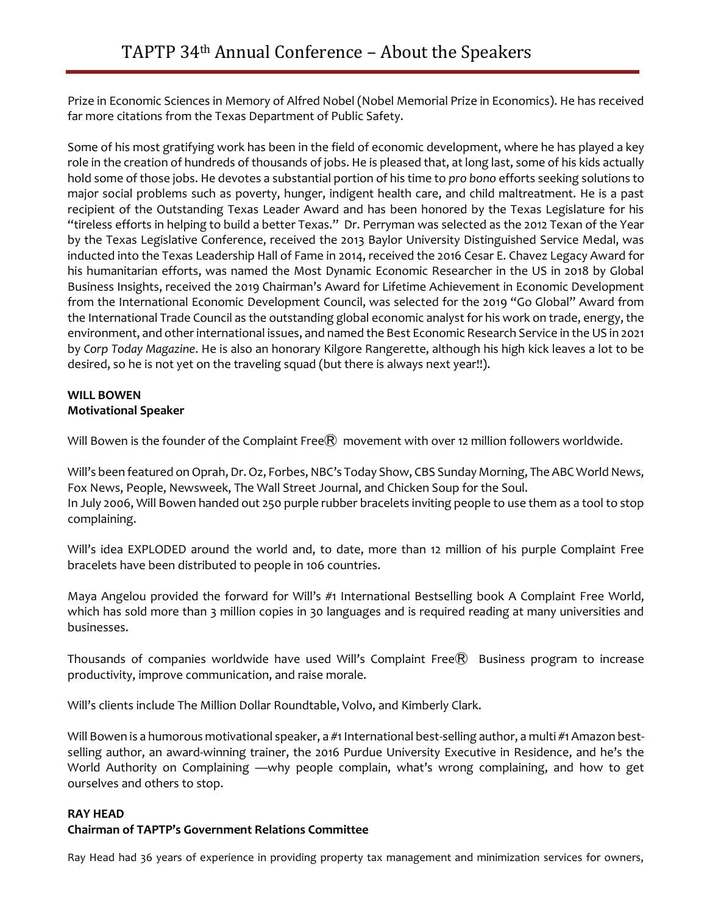Prize in Economic Sciences in Memory of Alfred Nobel (Nobel Memorial Prize in Economics). He has received far more citations from the Texas Department of Public Safety.

Some of his most gratifying work has been in the field of economic development, where he has played a key role in the creation of hundreds of thousands of jobs. He is pleased that, at long last, some of his kids actually hold some of those jobs. He devotes a substantial portion of his time to *pro bono* efforts seeking solutions to major social problems such as poverty, hunger, indigent health care, and child maltreatment. He is a past recipient of the Outstanding Texas Leader Award and has been honored by the Texas Legislature for his "tireless efforts in helping to build a better Texas." Dr. Perryman was selected as the 2012 Texan of the Year by the Texas Legislative Conference, received the 2013 Baylor University Distinguished Service Medal, was inducted into the Texas Leadership Hall of Fame in 2014, received the 2016 Cesar E. Chavez Legacy Award for his humanitarian efforts, was named the Most Dynamic Economic Researcher in the US in 2018 by Global Business Insights, received the 2019 Chairman's Award for Lifetime Achievement in Economic Development from the International Economic Development Council, was selected for the 2019 "Go Global" Award from the International Trade Council as the outstanding global economic analyst for his work on trade, energy, the environment, and other international issues, and named the Best Economic Research Service in the US in 2021 by *Corp Today Magazine*. He is also an honorary Kilgore Rangerette, although his high kick leaves a lot to be desired, so he is not yet on the traveling squad (but there is always next year!!).

# **WILL BOWEN Motivational Speaker**

Will Bowen is the founder of the Complaint Free $\widehat{R}$  movement with over 12 million followers worldwide.

Will's been featured on Oprah, Dr. Oz, Forbes, NBC's Today Show, CBS Sunday Morning, The ABC World News, Fox News, People, Newsweek, The Wall Street Journal, and Chicken Soup for the Soul. In July 2006, Will Bowen handed out 250 purple rubber bracelets inviting people to use them as a tool to stop complaining.

Will's idea EXPLODED around the world and, to date, more than 12 million of his purple Complaint Free bracelets have been distributed to people in 106 countries.

Maya Angelou provided the forward for Will's #1 International Bestselling book A Complaint Free World, which has sold more than 3 million copies in 30 languages and is required reading at many universities and businesses.

Thousands of companies worldwide have used Will's Complaint Free $\mathbb R$  Business program to increase productivity, improve communication, and raise morale.

Will's clients include The Million Dollar Roundtable, Volvo, and Kimberly Clark.

Will Bowen is a humorous motivational speaker, a #1 International best-selling author, a multi #1 Amazon bestselling author, an award-winning trainer, the 2016 Purdue University Executive in Residence, and he's the World Authority on Complaining —why people complain, what's wrong complaining, and how to get ourselves and others to stop.

# **RAY HEAD**

# **Chairman of TAPTP's Government Relations Committee**

Ray Head had 36 years of experience in providing property tax management and minimization services for owners,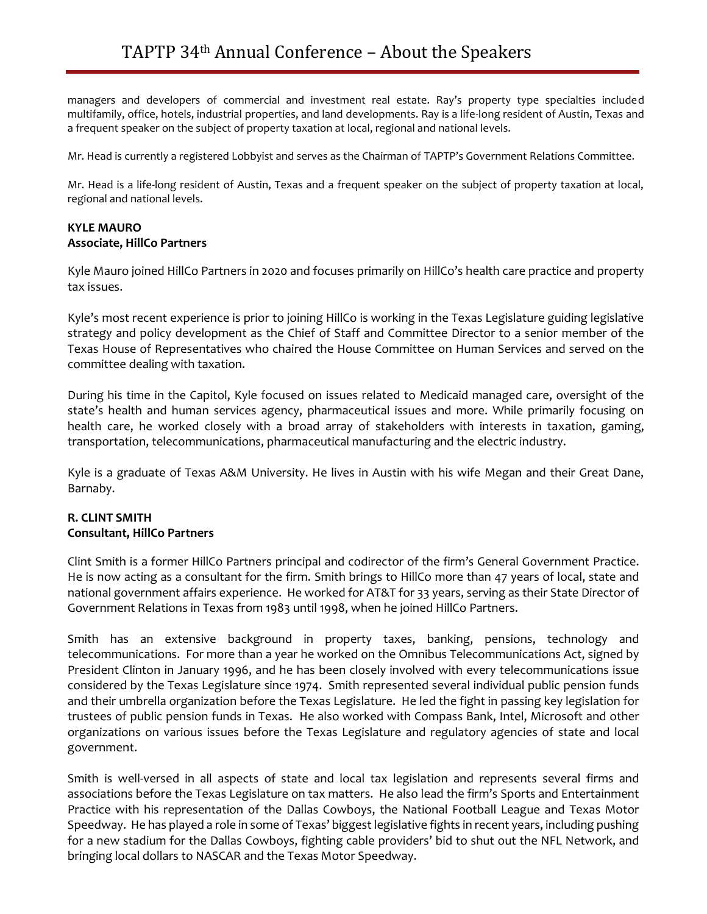managers and developers of commercial and investment real estate. Ray's property type specialties included multifamily, office, hotels, industrial properties, and land developments. Ray is a life-long resident of Austin, Texas and a frequent speaker on the subject of property taxation at local, regional and national levels.

Mr. Head is currently a registered Lobbyist and serves as the Chairman of TAPTP's Government Relations Committee.

Mr. Head is a life-long resident of Austin, Texas and a frequent speaker on the subject of property taxation at local, regional and national levels.

# **KYLE MAURO Associate, HillCo Partners**

Kyle Mauro joined HillCo Partners in 2020 and focuses primarily on HillCo's health care practice and property tax issues.

Kyle's most recent experience is prior to joining HillCo is working in the Texas Legislature guiding legislative strategy and policy development as the Chief of Staff and Committee Director to a senior member of the Texas House of Representatives who chaired the House Committee on Human Services and served on the committee dealing with taxation.

During his time in the Capitol, Kyle focused on issues related to Medicaid managed care, oversight of the state's health and human services agency, pharmaceutical issues and more. While primarily focusing on health care, he worked closely with a broad array of stakeholders with interests in taxation, gaming, transportation, telecommunications, pharmaceutical manufacturing and the electric industry.

Kyle is a graduate of Texas A&M University. He lives in Austin with his wife Megan and their Great Dane, Barnaby.

# **R. CLINT SMITH Consultant, HillCo Partners**

Clint Smith is a former HillCo Partners principal and codirector of the firm's General Government Practice. He is now acting as a consultant for the firm. Smith brings to HillCo more than 47 years of local, state and national government affairs experience. He worked for AT&T for 33 years, serving as their State Director of Government Relations in Texas from 1983 until 1998, when he joined HillCo Partners.

Smith has an extensive background in property taxes, banking, pensions, technology and telecommunications. For more than a year he worked on the Omnibus Telecommunications Act, signed by President Clinton in January 1996, and he has been closely involved with every telecommunications issue considered by the Texas Legislature since 1974. Smith represented several individual public pension funds and their umbrella organization before the Texas Legislature. He led the fight in passing key legislation for trustees of public pension funds in Texas. He also worked with Compass Bank, Intel, Microsoft and other organizations on various issues before the Texas Legislature and regulatory agencies of state and local government.

Smith is well-versed in all aspects of state and local tax legislation and represents several firms and associations before the Texas Legislature on tax matters. He also lead the firm's Sports and Entertainment Practice with his representation of the Dallas Cowboys, the National Football League and Texas Motor Speedway. He has played a role in some of Texas' biggest legislative fights in recent years, including pushing for a new stadium for the Dallas Cowboys, fighting cable providers' bid to shut out the NFL Network, and bringing local dollars to NASCAR and the Texas Motor Speedway.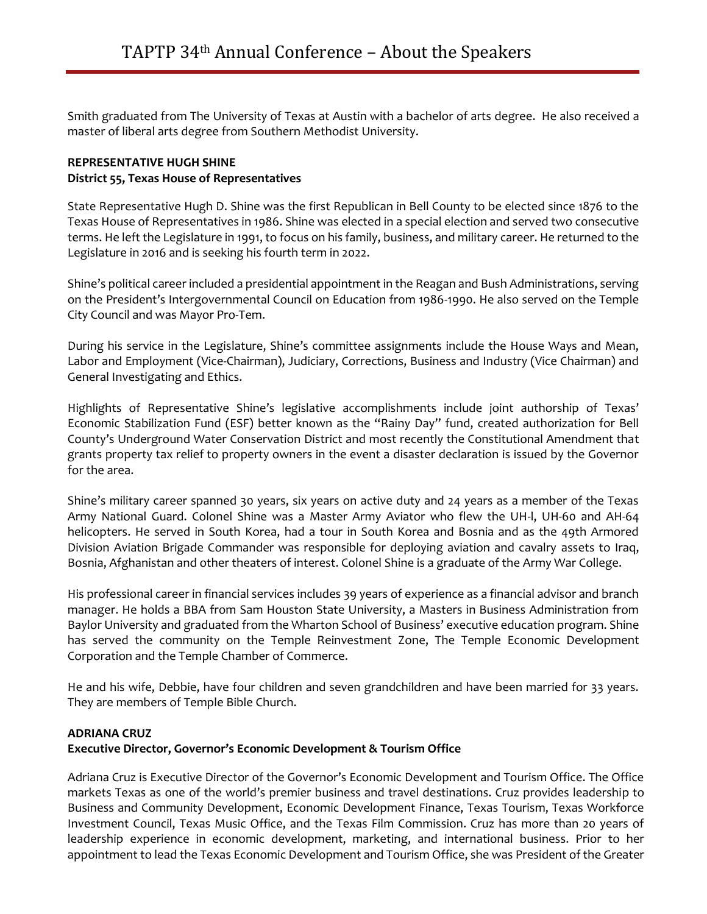Smith graduated from The University of Texas at Austin with a bachelor of arts degree. He also received a master of liberal arts degree from Southern Methodist University.

# **REPRESENTATIVE HUGH SHINE District 55, Texas House of Representatives**

State Representative Hugh D. Shine was the first Republican in Bell County to be elected since 1876 to the Texas House of Representatives in 1986. Shine was elected in a special election and served two consecutive terms. He left the Legislature in 1991, to focus on his family, business, and military career. He returned to the Legislature in 2016 and is seeking his fourth term in 2022.

Shine's political career included a presidential appointment in the Reagan and Bush Administrations, serving on the President's Intergovernmental Council on Education from 1986-1990. He also served on the Temple City Council and was Mayor Pro-Tem.

During his service in the Legislature, Shine's committee assignments include the House Ways and Mean, Labor and Employment (Vice-Chairman), Judiciary, Corrections, Business and Industry (Vice Chairman) and General Investigating and Ethics.

Highlights of Representative Shine's legislative accomplishments include joint authorship of Texas' Economic Stabilization Fund (ESF) better known as the "Rainy Day" fund, created authorization for Bell County's Underground Water Conservation District and most recently the Constitutional Amendment that grants property tax relief to property owners in the event a disaster declaration is issued by the Governor for the area.

Shine's military career spanned 30 years, six years on active duty and 24 years as a member of the Texas Army National Guard. Colonel Shine was a Master Army Aviator who flew the UH-l, UH-60 and AH-64 helicopters. He served in South Korea, had a tour in South Korea and Bosnia and as the 49th Armored Division Aviation Brigade Commander was responsible for deploying aviation and cavalry assets to Iraq, Bosnia, Afghanistan and other theaters of interest. Colonel Shine is a graduate of the Army War College.

His professional career in financial services includes 39 years of experience as a financial advisor and branch manager. He holds a BBA from Sam Houston State University, a Masters in Business Administration from Baylor University and graduated from the Wharton School of Business' executive education program. Shine has served the community on the Temple Reinvestment Zone, The Temple Economic Development Corporation and the Temple Chamber of Commerce.

He and his wife, Debbie, have four children and seven grandchildren and have been married for 33 years. They are members of Temple Bible Church.

# **ADRIANA CRUZ**

# **Executive Director, Governor's Economic Development & Tourism Office**

Adriana Cruz is Executive Director of the Governor's Economic Development and Tourism Office. The Office markets Texas as one of the world's premier business and travel destinations. Cruz provides leadership to Business and Community Development, Economic Development Finance, Texas Tourism, Texas Workforce Investment Council, Texas Music Office, and the Texas Film Commission. Cruz has more than 20 years of leadership experience in economic development, marketing, and international business. Prior to her appointment to lead the Texas Economic Development and Tourism Office, she was President of the Greater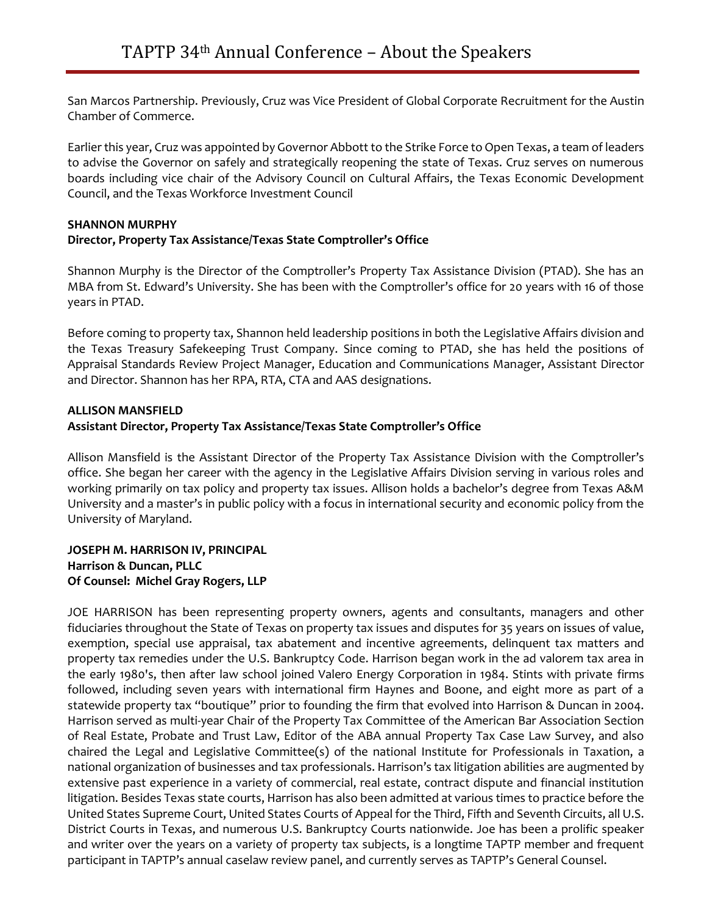San Marcos Partnership. Previously, Cruz was Vice President of Global Corporate Recruitment for the Austin Chamber of Commerce.

Earlier this year, Cruz was appointed by Governor Abbott to the Strike Force to Open Texas, a team of leaders to advise the Governor on safely and strategically reopening the state of Texas. Cruz serves on numerous boards including vice chair of the Advisory Council on Cultural Affairs, the Texas Economic Development Council, and the Texas Workforce Investment Council

### **SHANNON MURPHY Director, Property Tax Assistance/Texas State Comptroller's Office**

Shannon Murphy is the Director of the Comptroller's Property Tax Assistance Division (PTAD). She has an MBA from St. Edward's University. She has been with the Comptroller's office for 20 years with 16 of those years in PTAD.

Before coming to property tax, Shannon held leadership positions in both the Legislative Affairs division and the Texas Treasury Safekeeping Trust Company. Since coming to PTAD, she has held the positions of Appraisal Standards Review Project Manager, Education and Communications Manager, Assistant Director and Director. Shannon has her RPA, RTA, CTA and AAS designations.

# **ALLISON MANSFIELD**

# **Assistant Director, Property Tax Assistance/Texas State Comptroller's Office**

Allison Mansfield is the Assistant Director of the Property Tax Assistance Division with the Comptroller's office. She began her career with the agency in the Legislative Affairs Division serving in various roles and working primarily on tax policy and property tax issues. Allison holds a bachelor's degree from Texas A&M University and a master's in public policy with a focus in international security and economic policy from the University of Maryland.

### **JOSEPH M. HARRISON IV, PRINCIPAL Harrison & Duncan, PLLC Of Counsel: Michel Gray Rogers, LLP**

JOE HARRISON has been representing property owners, agents and consultants, managers and other fiduciaries throughout the State of Texas on property tax issues and disputes for 35 years on issues of value, exemption, special use appraisal, tax abatement and incentive agreements, delinquent tax matters and property tax remedies under the U.S. Bankruptcy Code. Harrison began work in the ad valorem tax area in the early 1980's, then after law school joined Valero Energy Corporation in 1984. Stints with private firms followed, including seven years with international firm Haynes and Boone, and eight more as part of a statewide property tax "boutique" prior to founding the firm that evolved into Harrison & Duncan in 2004. Harrison served as multi-year Chair of the Property Tax Committee of the American Bar Association Section of Real Estate, Probate and Trust Law, Editor of the ABA annual Property Tax Case Law Survey, and also chaired the Legal and Legislative Committee(s) of the national Institute for Professionals in Taxation, a national organization of businesses and tax professionals. Harrison's tax litigation abilities are augmented by extensive past experience in a variety of commercial, real estate, contract dispute and financial institution litigation. Besides Texas state courts, Harrison has also been admitted at various times to practice before the United States Supreme Court, United States Courts of Appeal for the Third, Fifth and Seventh Circuits, all U.S. District Courts in Texas, and numerous U.S. Bankruptcy Courts nationwide. Joe has been a prolific speaker and writer over the years on a variety of property tax subjects, is a longtime TAPTP member and frequent participant in TAPTP's annual caselaw review panel, and currently serves as TAPTP's General Counsel.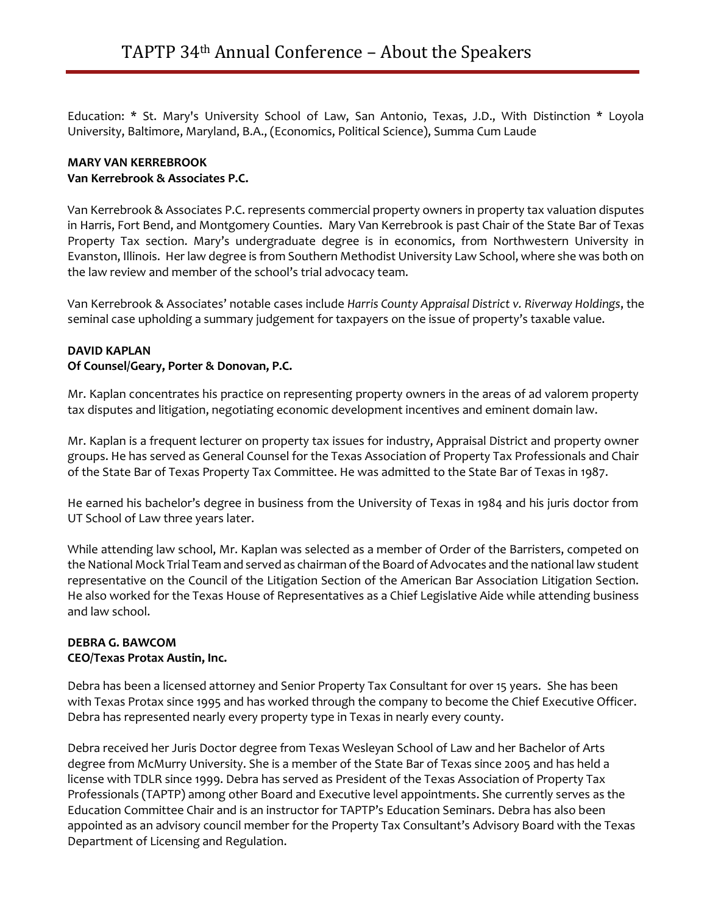Education: \* St. Mary's University School of Law, San Antonio, Texas, J.D., With Distinction \* Loyola University, Baltimore, Maryland, B.A., (Economics, Political Science), Summa Cum Laude

### **MARY VAN KERREBROOK Van Kerrebrook & Associates P.C.**

Van Kerrebrook & Associates P.C. represents commercial property owners in property tax valuation disputes in Harris, Fort Bend, and Montgomery Counties. Mary Van Kerrebrook is past Chair of the State Bar of Texas Property Tax section. Mary's undergraduate degree is in economics, from Northwestern University in Evanston, Illinois. Her law degree is from Southern Methodist University Law School, where she was both on the law review and member of the school's trial advocacy team.

Van Kerrebrook & Associates' notable cases include *Harris County Appraisal District v. Riverway Holdings*, the seminal case upholding a summary judgement for taxpayers on the issue of property's taxable value.

# **DAVID KAPLAN**

# **Of Counsel/Geary, Porter & Donovan, P.C.**

Mr. Kaplan concentrates his practice on representing property owners in the areas of ad valorem property tax disputes and litigation, negotiating economic development incentives and eminent domain law.

Mr. Kaplan is a frequent lecturer on property tax issues for industry, Appraisal District and property owner groups. He has served as General Counsel for the Texas Association of Property Tax Professionals and Chair of the State Bar of Texas Property Tax Committee. He was admitted to the State Bar of Texas in 1987.

He earned his bachelor's degree in business from the University of Texas in 1984 and his juris doctor from UT School of Law three years later.

While attending law school, Mr. Kaplan was selected as a member of Order of the Barristers, competed on the National Mock Trial Team and served as chairman of the Board of Advocates and the national law student representative on the Council of the Litigation Section of the American Bar Association Litigation Section. He also worked for the Texas House of Representatives as a Chief Legislative Aide while attending business and law school.

#### **DEBRA G. BAWCOM CEO/Texas Protax Austin, Inc.**

Debra has been a licensed attorney and Senior Property Tax Consultant for over 15 years. She has been with Texas Protax since 1995 and has worked through the company to become the Chief Executive Officer. Debra has represented nearly every property type in Texas in nearly every county.

Debra received her Juris Doctor degree from Texas Wesleyan School of Law and her Bachelor of Arts degree from McMurry University. She is a member of the State Bar of Texas since 2005 and has held a license with TDLR since 1999. Debra has served as President of the Texas Association of Property Tax Professionals (TAPTP) among other Board and Executive level appointments. She currently serves as the Education Committee Chair and is an instructor for TAPTP's Education Seminars. Debra has also been appointed as an advisory council member for the Property Tax Consultant's Advisory Board with the Texas Department of Licensing and Regulation.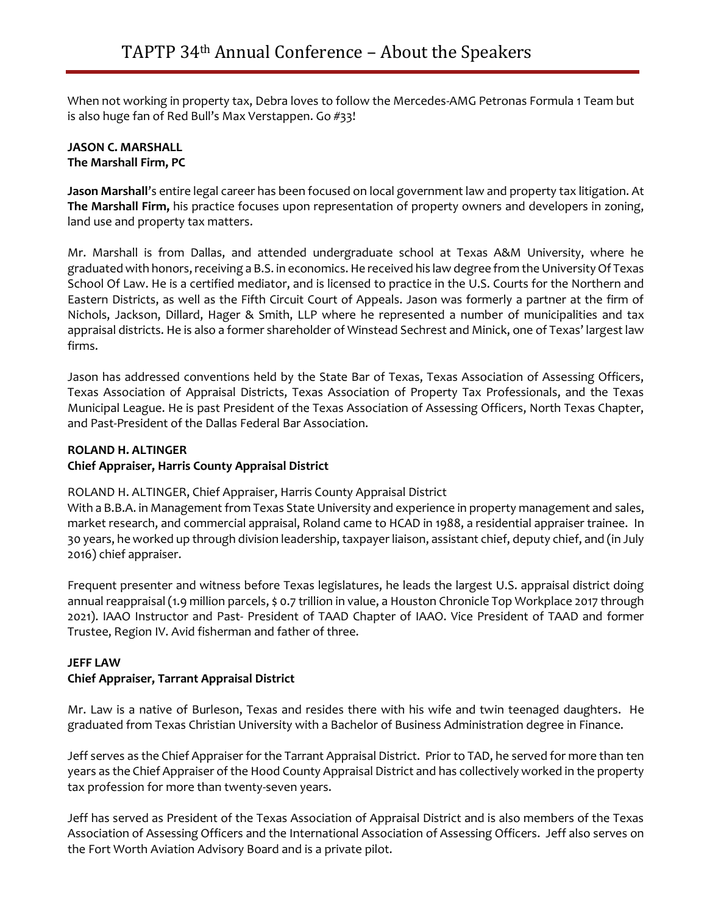When not working in property tax, Debra loves to follow the Mercedes-AMG Petronas Formula 1 Team but is also huge fan of Red Bull's Max Verstappen. Go #33!

# **JASON C. MARSHALL The Marshall Firm, PC**

**Jason Marshall**'s entire legal career has been focused on local government law and property tax litigation. At **The Marshall Firm,** his practice focuses upon representation of property owners and developers in zoning, land use and property tax matters.

Mr. Marshall is from Dallas, and attended undergraduate school at Texas A&M University, where he graduated with honors, receiving a B.S. in economics. He received his law degree from the University Of Texas School Of Law. He is a certified mediator, and is licensed to practice in the U.S. Courts for the Northern and Eastern Districts, as well as the Fifth Circuit Court of Appeals. Jason was formerly a partner at the firm of Nichols, Jackson, Dillard, Hager & Smith, LLP where he represented a number of municipalities and tax appraisal districts. He is also a former shareholder of Winstead Sechrest and Minick, one of Texas' largest law firms.

Jason has addressed conventions held by the State Bar of Texas, Texas Association of Assessing Officers, Texas Association of Appraisal Districts, Texas Association of Property Tax Professionals, and the Texas Municipal League. He is past President of the Texas Association of Assessing Officers, North Texas Chapter, and Past-President of the Dallas Federal Bar Association.

# **ROLAND H. ALTINGER**

# **Chief Appraiser, Harris County Appraisal District**

ROLAND H. ALTINGER, Chief Appraiser, Harris County Appraisal District

With a B.B.A. in Management from Texas State University and experience in property management and sales, market research, and commercial appraisal, Roland came to HCAD in 1988, a residential appraiser trainee. In 30 years, he worked up through division leadership, taxpayer liaison, assistant chief, deputy chief, and (in July 2016) chief appraiser.

Frequent presenter and witness before Texas legislatures, he leads the largest U.S. appraisal district doing annual reappraisal (1.9 million parcels, \$ 0.7 trillion in value, a Houston Chronicle Top Workplace 2017 through 2021). IAAO Instructor and Past- President of TAAD Chapter of IAAO. Vice President of TAAD and former Trustee, Region IV. Avid fisherman and father of three.

# **JEFF LAW Chief Appraiser, Tarrant Appraisal District**

Mr. Law is a native of Burleson, Texas and resides there with his wife and twin teenaged daughters. He graduated from Texas Christian University with a Bachelor of Business Administration degree in Finance.

Jeff serves as the Chief Appraiser for the Tarrant Appraisal District. Prior to TAD, he served for more than ten years as the Chief Appraiser of the Hood County Appraisal District and has collectively worked in the property tax profession for more than twenty-seven years.

Jeff has served as President of the Texas Association of Appraisal District and is also members of the Texas Association of Assessing Officers and the International Association of Assessing Officers. Jeff also serves on the Fort Worth Aviation Advisory Board and is a private pilot.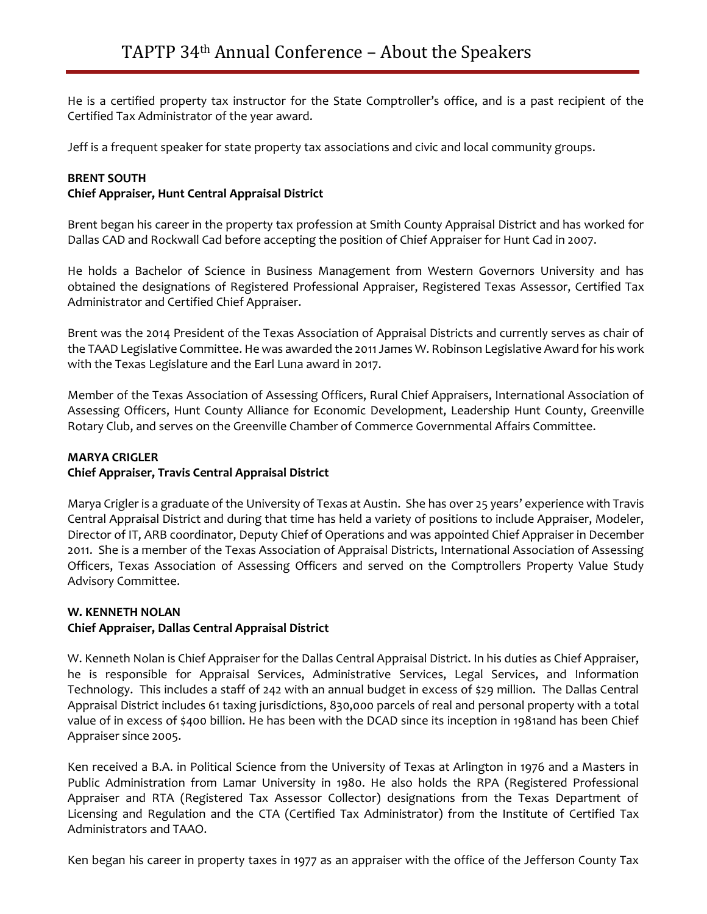He is a certified property tax instructor for the State Comptroller's office, and is a past recipient of the Certified Tax Administrator of the year award.

Jeff is a frequent speaker for state property tax associations and civic and local community groups.

#### **BRENT SOUTH**

### **Chief Appraiser, Hunt Central Appraisal District**

Brent began his career in the property tax profession at Smith County Appraisal District and has worked for Dallas CAD and Rockwall Cad before accepting the position of Chief Appraiser for Hunt Cad in 2007.

He holds a Bachelor of Science in Business Management from Western Governors University and has obtained the designations of Registered Professional Appraiser, Registered Texas Assessor, Certified Tax Administrator and Certified Chief Appraiser.

Brent was the 2014 President of the Texas Association of Appraisal Districts and currently serves as chair of the TAAD Legislative Committee. He was awarded the 2011 James W. Robinson Legislative Award for his work with the Texas Legislature and the Earl Luna award in 2017.

Member of the Texas Association of Assessing Officers, Rural Chief Appraisers, International Association of Assessing Officers, Hunt County Alliance for Economic Development, Leadership Hunt County, Greenville Rotary Club, and serves on the Greenville Chamber of Commerce Governmental Affairs Committee.

#### **MARYA CRIGLER**

# **Chief Appraiser, Travis Central Appraisal District**

Marya Crigler is a graduate of the University of Texas at Austin. She has over 25 years' experience with Travis Central Appraisal District and during that time has held a variety of positions to include Appraiser, Modeler, Director of IT, ARB coordinator, Deputy Chief of Operations and was appointed Chief Appraiser in December 2011. She is a member of the Texas Association of Appraisal Districts, International Association of Assessing Officers, Texas Association of Assessing Officers and served on the Comptrollers Property Value Study Advisory Committee.

#### **W. KENNETH NOLAN Chief Appraiser, Dallas Central Appraisal District**

W. Kenneth Nolan is Chief Appraiser for the Dallas Central Appraisal District. In his duties as Chief Appraiser, he is responsible for Appraisal Services, Administrative Services, Legal Services, and Information Technology. This includes a staff of 242 with an annual budget in excess of \$29 million. The Dallas Central Appraisal District includes 61 taxing jurisdictions, 830,000 parcels of real and personal property with a total value of in excess of \$400 billion. He has been with the DCAD since its inception in 1981and has been Chief Appraiser since 2005.

Ken received a B.A. in Political Science from the University of Texas at Arlington in 1976 and a Masters in Public Administration from Lamar University in 1980. He also holds the RPA (Registered Professional Appraiser and RTA (Registered Tax Assessor Collector) designations from the Texas Department of Licensing and Regulation and the CTA (Certified Tax Administrator) from the Institute of Certified Tax Administrators and TAAO.

Ken began his career in property taxes in 1977 as an appraiser with the office of the Jefferson County Tax